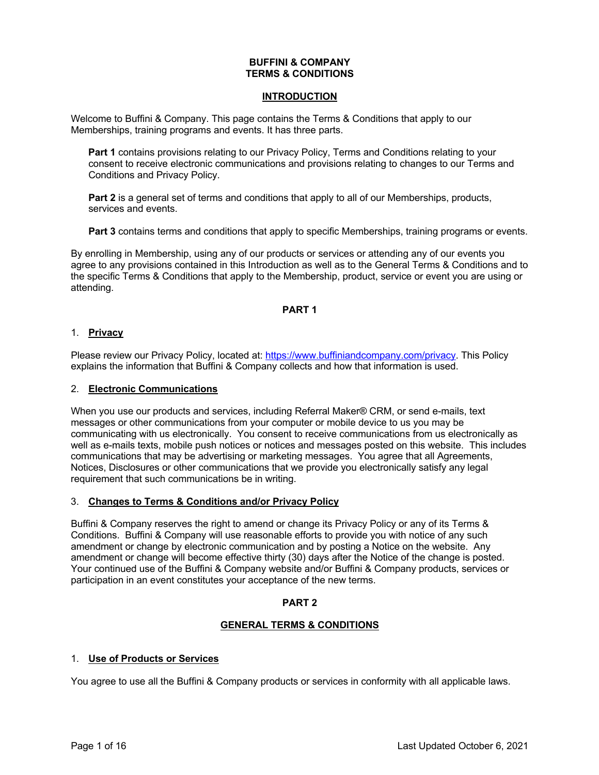### **BUFFINI & COMPANY TERMS & CONDITIONS**

### **INTRODUCTION**

Welcome to Buffini & Company. This page contains the Terms & Conditions that apply to our Memberships, training programs and events. It has three parts.

**Part 1** contains provisions relating to our Privacy Policy, Terms and Conditions relating to your consent to receive electronic communications and provisions relating to changes to our Terms and Conditions and Privacy Policy.

**Part 2** is a general set of terms and conditions that apply to all of our Memberships, products, services and events.

**Part 3** contains terms and conditions that apply to specific Memberships, training programs or events.

By enrolling in Membership, using any of our products or services or attending any of our events you agree to any provisions contained in this Introduction as well as to the General Terms & Conditions and to the specific Terms & Conditions that apply to the Membership, product, service or event you are using or attending.

# **PART 1**

### 1. **Privacy**

Please review our Privacy Policy, located at: https://www.buffiniandcompany.com/privacy. This Policy explains the information that Buffini & Company collects and how that information is used.

### 2. **Electronic Communications**

When you use our products and services, including Referral Maker® CRM, or send e-mails, text messages or other communications from your computer or mobile device to us you may be communicating with us electronically. You consent to receive communications from us electronically as well as e-mails texts, mobile push notices or notices and messages posted on this website. This includes communications that may be advertising or marketing messages. You agree that all Agreements, Notices, Disclosures or other communications that we provide you electronically satisfy any legal requirement that such communications be in writing.

### 3. **Changes to Terms & Conditions and/or Privacy Policy**

Buffini & Company reserves the right to amend or change its Privacy Policy or any of its Terms & Conditions. Buffini & Company will use reasonable efforts to provide you with notice of any such amendment or change by electronic communication and by posting a Notice on the website. Any amendment or change will become effective thirty (30) days after the Notice of the change is posted. Your continued use of the Buffini & Company website and/or Buffini & Company products, services or participation in an event constitutes your acceptance of the new terms.

# **PART 2**

# **GENERAL TERMS & CONDITIONS**

# 1. **Use of Products or Services**

You agree to use all the Buffini & Company products or services in conformity with all applicable laws.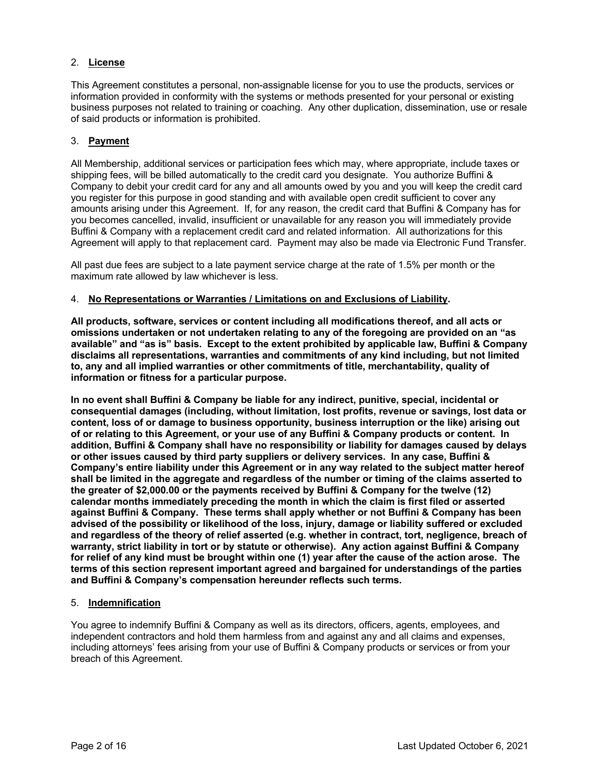# 2. **License**

This Agreement constitutes a personal, non-assignable license for you to use the products, services or information provided in conformity with the systems or methods presented for your personal or existing business purposes not related to training or coaching. Any other duplication, dissemination, use or resale of said products or information is prohibited.

### 3. **Payment**

All Membership, additional services or participation fees which may, where appropriate, include taxes or shipping fees, will be billed automatically to the credit card you designate. You authorize Buffini & Company to debit your credit card for any and all amounts owed by you and you will keep the credit card you register for this purpose in good standing and with available open credit sufficient to cover any amounts arising under this Agreement. If, for any reason, the credit card that Buffini & Company has for you becomes cancelled, invalid, insufficient or unavailable for any reason you will immediately provide Buffini & Company with a replacement credit card and related information. All authorizations for this Agreement will apply to that replacement card. Payment may also be made via Electronic Fund Transfer.

All past due fees are subject to a late payment service charge at the rate of 1.5% per month or the maximum rate allowed by law whichever is less.

### 4. **No Representations or Warranties / Limitations on and Exclusions of Liability.**

**All products, software, services or content including all modifications thereof, and all acts or omissions undertaken or not undertaken relating to any of the foregoing are provided on an "as available" and "as is" basis. Except to the extent prohibited by applicable law, Buffini & Company disclaims all representations, warranties and commitments of any kind including, but not limited to, any and all implied warranties or other commitments of title, merchantability, quality of information or fitness for a particular purpose.**

**In no event shall Buffini & Company be liable for any indirect, punitive, special, incidental or consequential damages (including, without limitation, lost profits, revenue or savings, lost data or content, loss of or damage to business opportunity, business interruption or the like) arising out of or relating to this Agreement, or your use of any Buffini & Company products or content. In addition, Buffini & Company shall have no responsibility or liability for damages caused by delays or other issues caused by third party suppliers or delivery services. In any case, Buffini & Company's entire liability under this Agreement or in any way related to the subject matter hereof shall be limited in the aggregate and regardless of the number or timing of the claims asserted to the greater of \$2,000.00 or the payments received by Buffini & Company for the twelve (12) calendar months immediately preceding the month in which the claim is first filed or asserted against Buffini & Company. These terms shall apply whether or not Buffini & Company has been advised of the possibility or likelihood of the loss, injury, damage or liability suffered or excluded and regardless of the theory of relief asserted (e.g. whether in contract, tort, negligence, breach of warranty, strict liability in tort or by statute or otherwise). Any action against Buffini & Company for relief of any kind must be brought within one (1) year after the cause of the action arose. The terms of this section represent important agreed and bargained for understandings of the parties and Buffini & Company's compensation hereunder reflects such terms.**

# 5. **Indemnification**

You agree to indemnify Buffini & Company as well as its directors, officers, agents, employees, and independent contractors and hold them harmless from and against any and all claims and expenses, including attorneys' fees arising from your use of Buffini & Company products or services or from your breach of this Agreement.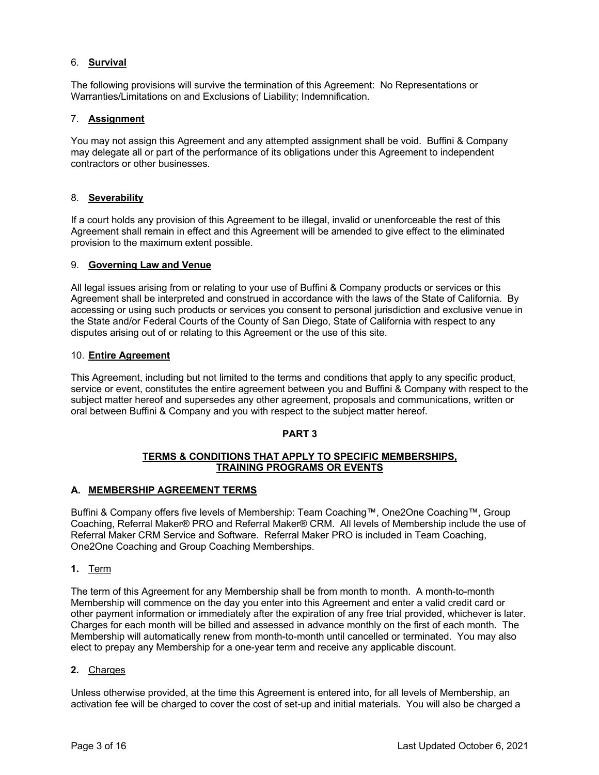# 6. **Survival**

The following provisions will survive the termination of this Agreement: No Representations or Warranties/Limitations on and Exclusions of Liability; Indemnification.

# 7. **Assignment**

You may not assign this Agreement and any attempted assignment shall be void. Buffini & Company may delegate all or part of the performance of its obligations under this Agreement to independent contractors or other businesses.

# 8. **Severability**

If a court holds any provision of this Agreement to be illegal, invalid or unenforceable the rest of this Agreement shall remain in effect and this Agreement will be amended to give effect to the eliminated provision to the maximum extent possible.

### 9. **Governing Law and Venue**

All legal issues arising from or relating to your use of Buffini & Company products or services or this Agreement shall be interpreted and construed in accordance with the laws of the State of California. By accessing or using such products or services you consent to personal jurisdiction and exclusive venue in the State and/or Federal Courts of the County of San Diego, State of California with respect to any disputes arising out of or relating to this Agreement or the use of this site.

# 10. **Entire Agreement**

This Agreement, including but not limited to the terms and conditions that apply to any specific product, service or event, constitutes the entire agreement between you and Buffini & Company with respect to the subject matter hereof and supersedes any other agreement, proposals and communications, written or oral between Buffini & Company and you with respect to the subject matter hereof.

# **PART 3**

### **TERMS & CONDITIONS THAT APPLY TO SPECIFIC MEMBERSHIPS, TRAINING PROGRAMS OR EVENTS**

# **A. MEMBERSHIP AGREEMENT TERMS**

Buffini & Company offers five levels of Membership: Team Coaching™, One2One Coaching™, Group Coaching, Referral Maker® PRO and Referral Maker® CRM. All levels of Membership include the use of Referral Maker CRM Service and Software. Referral Maker PRO is included in Team Coaching, One2One Coaching and Group Coaching Memberships.

**1.** Term

The term of this Agreement for any Membership shall be from month to month. A month-to-month Membership will commence on the day you enter into this Agreement and enter a valid credit card or other payment information or immediately after the expiration of any free trial provided, whichever is later. Charges for each month will be billed and assessed in advance monthly on the first of each month. The Membership will automatically renew from month-to-month until cancelled or terminated. You may also elect to prepay any Membership for a one-year term and receive any applicable discount.

# **2.** Charges

Unless otherwise provided, at the time this Agreement is entered into, for all levels of Membership, an activation fee will be charged to cover the cost of set-up and initial materials. You will also be charged a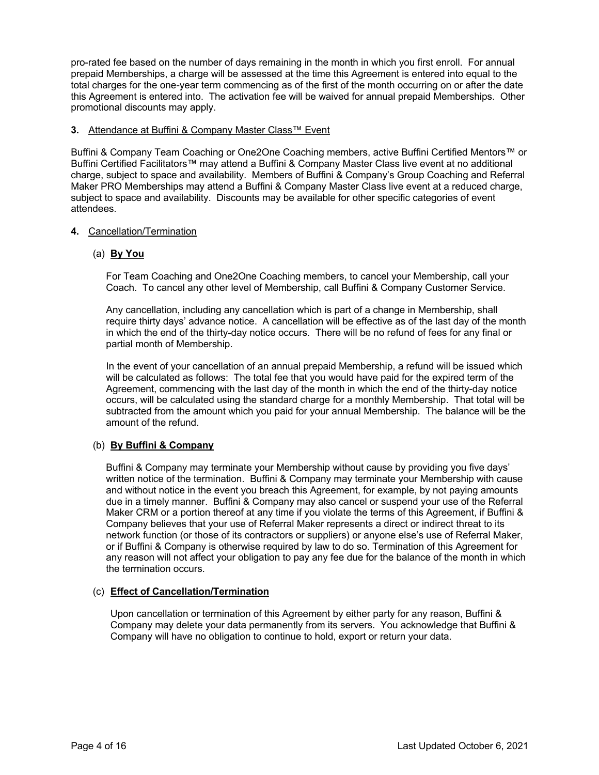pro-rated fee based on the number of days remaining in the month in which you first enroll. For annual prepaid Memberships, a charge will be assessed at the time this Agreement is entered into equal to the total charges for the one-year term commencing as of the first of the month occurring on or after the date this Agreement is entered into. The activation fee will be waived for annual prepaid Memberships. Other promotional discounts may apply.

### **3.** Attendance at Buffini & Company Master Class™ Event

Buffini & Company Team Coaching or One2One Coaching members, active Buffini Certified Mentors™ or Buffini Certified Facilitators™ may attend a Buffini & Company Master Class live event at no additional charge, subject to space and availability. Members of Buffini & Company's Group Coaching and Referral Maker PRO Memberships may attend a Buffini & Company Master Class live event at a reduced charge, subject to space and availability. Discounts may be available for other specific categories of event attendees.

# **4.** Cancellation/Termination

# (a) **By You**

For Team Coaching and One2One Coaching members, to cancel your Membership, call your Coach. To cancel any other level of Membership, call Buffini & Company Customer Service.

Any cancellation, including any cancellation which is part of a change in Membership, shall require thirty days' advance notice. A cancellation will be effective as of the last day of the month in which the end of the thirty-day notice occurs. There will be no refund of fees for any final or partial month of Membership.

In the event of your cancellation of an annual prepaid Membership, a refund will be issued which will be calculated as follows: The total fee that you would have paid for the expired term of the Agreement, commencing with the last day of the month in which the end of the thirty-day notice occurs, will be calculated using the standard charge for a monthly Membership. That total will be subtracted from the amount which you paid for your annual Membership. The balance will be the amount of the refund.

# (b) **By Buffini & Company**

Buffini & Company may terminate your Membership without cause by providing you five days' written notice of the termination. Buffini & Company may terminate your Membership with cause and without notice in the event you breach this Agreement, for example, by not paying amounts due in a timely manner. Buffini & Company may also cancel or suspend your use of the Referral Maker CRM or a portion thereof at any time if you violate the terms of this Agreement, if Buffini & Company believes that your use of Referral Maker represents a direct or indirect threat to its network function (or those of its contractors or suppliers) or anyone else's use of Referral Maker, or if Buffini & Company is otherwise required by law to do so. Termination of this Agreement for any reason will not affect your obligation to pay any fee due for the balance of the month in which the termination occurs.

# (c) **Effect of Cancellation/Termination**

Upon cancellation or termination of this Agreement by either party for any reason, Buffini & Company may delete your data permanently from its servers. You acknowledge that Buffini & Company will have no obligation to continue to hold, export or return your data.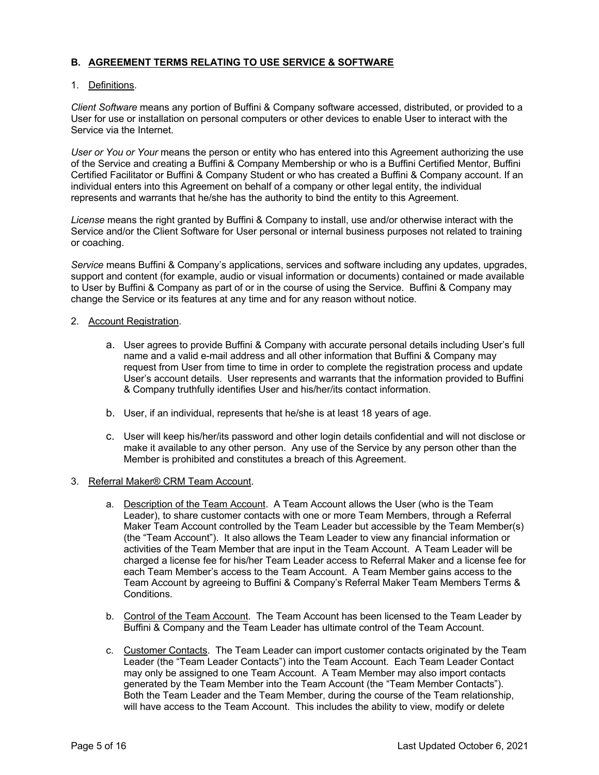# **B. AGREEMENT TERMS RELATING TO USE SERVICE & SOFTWARE**

### 1. Definitions.

*Client Software* means any portion of Buffini & Company software accessed, distributed, or provided to a User for use or installation on personal computers or other devices to enable User to interact with the Service via the Internet.

*User or You or Your* means the person or entity who has entered into this Agreement authorizing the use of the Service and creating a Buffini & Company Membership or who is a Buffini Certified Mentor, Buffini Certified Facilitator or Buffini & Company Student or who has created a Buffini & Company account. If an individual enters into this Agreement on behalf of a company or other legal entity, the individual represents and warrants that he/she has the authority to bind the entity to this Agreement.

*License* means the right granted by Buffini & Company to install, use and/or otherwise interact with the Service and/or the Client Software for User personal or internal business purposes not related to training or coaching.

*Service* means Buffini & Company's applications, services and software including any updates, upgrades, support and content (for example, audio or visual information or documents) contained or made available to User by Buffini & Company as part of or in the course of using the Service. Buffini & Company may change the Service or its features at any time and for any reason without notice.

### 2. Account Registration.

- a. User agrees to provide Buffini & Company with accurate personal details including User's full name and a valid e-mail address and all other information that Buffini & Company may request from User from time to time in order to complete the registration process and update User's account details. User represents and warrants that the information provided to Buffini & Company truthfully identifies User and his/her/its contact information.
- b. User, if an individual, represents that he/she is at least 18 years of age.
- c. User will keep his/her/its password and other login details confidential and will not disclose or make it available to any other person. Any use of the Service by any person other than the Member is prohibited and constitutes a breach of this Agreement.

### 3. Referral Maker® CRM Team Account.

- a. Description of the Team Account. A Team Account allows the User (who is the Team Leader), to share customer contacts with one or more Team Members, through a Referral Maker Team Account controlled by the Team Leader but accessible by the Team Member(s) (the "Team Account"). It also allows the Team Leader to view any financial information or activities of the Team Member that are input in the Team Account. A Team Leader will be charged a license fee for his/her Team Leader access to Referral Maker and a license fee for each Team Member's access to the Team Account. A Team Member gains access to the Team Account by agreeing to Buffini & Company's Referral Maker Team Members Terms & Conditions.
- b. Control of the Team Account. The Team Account has been licensed to the Team Leader by Buffini & Company and the Team Leader has ultimate control of the Team Account.
- c. Customer Contacts. The Team Leader can import customer contacts originated by the Team Leader (the "Team Leader Contacts") into the Team Account. Each Team Leader Contact may only be assigned to one Team Account. A Team Member may also import contacts generated by the Team Member into the Team Account (the "Team Member Contacts"). Both the Team Leader and the Team Member, during the course of the Team relationship, will have access to the Team Account. This includes the ability to view, modify or delete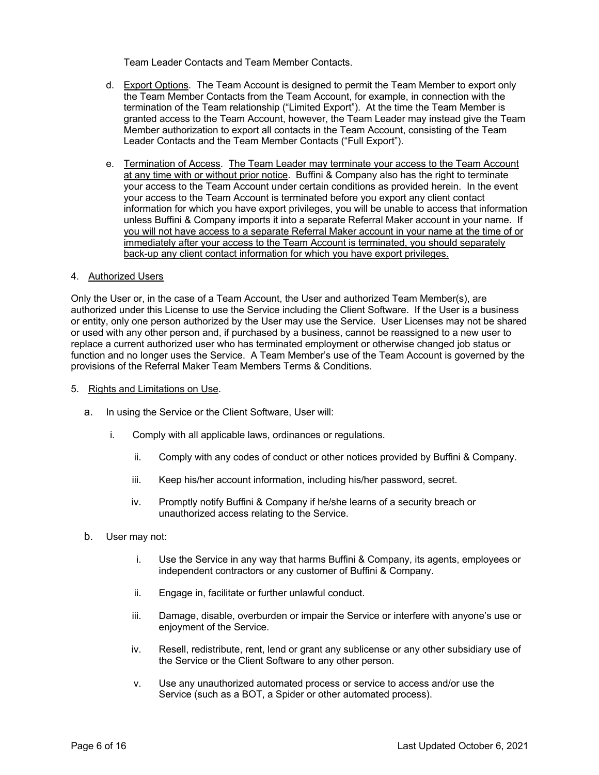Team Leader Contacts and Team Member Contacts.

- d. Export Options. The Team Account is designed to permit the Team Member to export only the Team Member Contacts from the Team Account, for example, in connection with the termination of the Team relationship ("Limited Export"). At the time the Team Member is granted access to the Team Account, however, the Team Leader may instead give the Team Member authorization to export all contacts in the Team Account, consisting of the Team Leader Contacts and the Team Member Contacts ("Full Export").
- e. Termination of Access. The Team Leader may terminate your access to the Team Account at any time with or without prior notice. Buffini & Company also has the right to terminate your access to the Team Account under certain conditions as provided herein. In the event your access to the Team Account is terminated before you export any client contact information for which you have export privileges, you will be unable to access that information unless Buffini & Company imports it into a separate Referral Maker account in your name. If you will not have access to a separate Referral Maker account in your name at the time of or immediately after your access to the Team Account is terminated, you should separately back-up any client contact information for which you have export privileges.

### 4. Authorized Users

Only the User or, in the case of a Team Account, the User and authorized Team Member(s), are authorized under this License to use the Service including the Client Software. If the User is a business or entity, only one person authorized by the User may use the Service. User Licenses may not be shared or used with any other person and, if purchased by a business, cannot be reassigned to a new user to replace a current authorized user who has terminated employment or otherwise changed job status or function and no longer uses the Service. A Team Member's use of the Team Account is governed by the provisions of the Referral Maker Team Members Terms & Conditions.

- 5. Rights and Limitations on Use.
	- a. In using the Service or the Client Software, User will:
		- i. Comply with all applicable laws, ordinances or regulations.
			- ii. Comply with any codes of conduct or other notices provided by Buffini & Company.
			- iii. Keep his/her account information, including his/her password, secret.
			- iv. Promptly notify Buffini & Company if he/she learns of a security breach or unauthorized access relating to the Service.
	- b. User may not:
		- i. Use the Service in any way that harms Buffini & Company, its agents, employees or independent contractors or any customer of Buffini & Company.
		- ii. Engage in, facilitate or further unlawful conduct.
		- iii. Damage, disable, overburden or impair the Service or interfere with anyone's use or enjoyment of the Service.
		- iv. Resell, redistribute, rent, lend or grant any sublicense or any other subsidiary use of the Service or the Client Software to any other person.
		- v. Use any unauthorized automated process or service to access and/or use the Service (such as a BOT, a Spider or other automated process).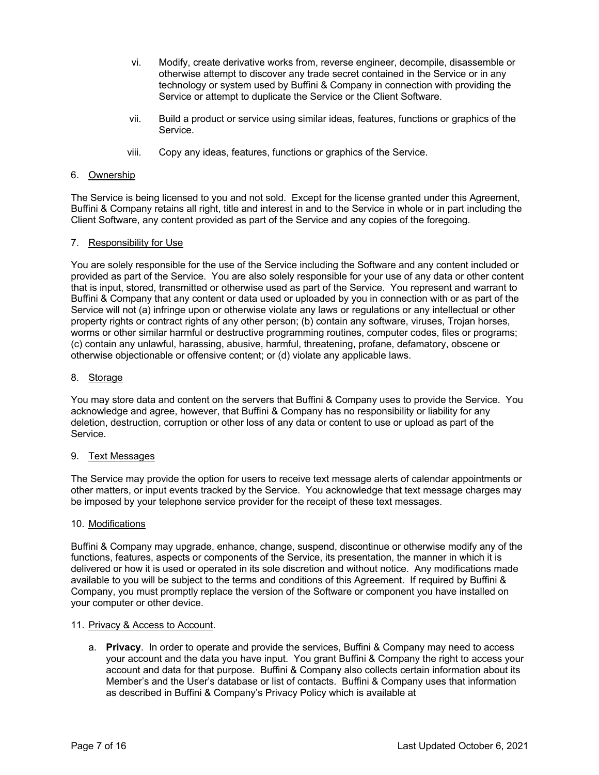- vi. Modify, create derivative works from, reverse engineer, decompile, disassemble or otherwise attempt to discover any trade secret contained in the Service or in any technology or system used by Buffini & Company in connection with providing the Service or attempt to duplicate the Service or the Client Software.
- vii. Build a product or service using similar ideas, features, functions or graphics of the Service.
- viii. Copy any ideas, features, functions or graphics of the Service.

# 6. Ownership

The Service is being licensed to you and not sold. Except for the license granted under this Agreement, Buffini & Company retains all right, title and interest in and to the Service in whole or in part including the Client Software, any content provided as part of the Service and any copies of the foregoing.

#### 7. Responsibility for Use

You are solely responsible for the use of the Service including the Software and any content included or provided as part of the Service. You are also solely responsible for your use of any data or other content that is input, stored, transmitted or otherwise used as part of the Service. You represent and warrant to Buffini & Company that any content or data used or uploaded by you in connection with or as part of the Service will not (a) infringe upon or otherwise violate any laws or regulations or any intellectual or other property rights or contract rights of any other person; (b) contain any software, viruses, Trojan horses, worms or other similar harmful or destructive programming routines, computer codes, files or programs; (c) contain any unlawful, harassing, abusive, harmful, threatening, profane, defamatory, obscene or otherwise objectionable or offensive content; or (d) violate any applicable laws.

#### 8. Storage

You may store data and content on the servers that Buffini & Company uses to provide the Service. You acknowledge and agree, however, that Buffini & Company has no responsibility or liability for any deletion, destruction, corruption or other loss of any data or content to use or upload as part of the Service.

#### 9. Text Messages

The Service may provide the option for users to receive text message alerts of calendar appointments or other matters, or input events tracked by the Service. You acknowledge that text message charges may be imposed by your telephone service provider for the receipt of these text messages.

#### 10. Modifications

Buffini & Company may upgrade, enhance, change, suspend, discontinue or otherwise modify any of the functions, features, aspects or components of the Service, its presentation, the manner in which it is delivered or how it is used or operated in its sole discretion and without notice. Any modifications made available to you will be subject to the terms and conditions of this Agreement. If required by Buffini & Company, you must promptly replace the version of the Software or component you have installed on your computer or other device.

#### 11. Privacy & Access to Account.

a. **Privacy**. In order to operate and provide the services, Buffini & Company may need to access your account and the data you have input. You grant Buffini & Company the right to access your account and data for that purpose. Buffini & Company also collects certain information about its Member's and the User's database or list of contacts. Buffini & Company uses that information as described in Buffini & Company's Privacy Policy which is available at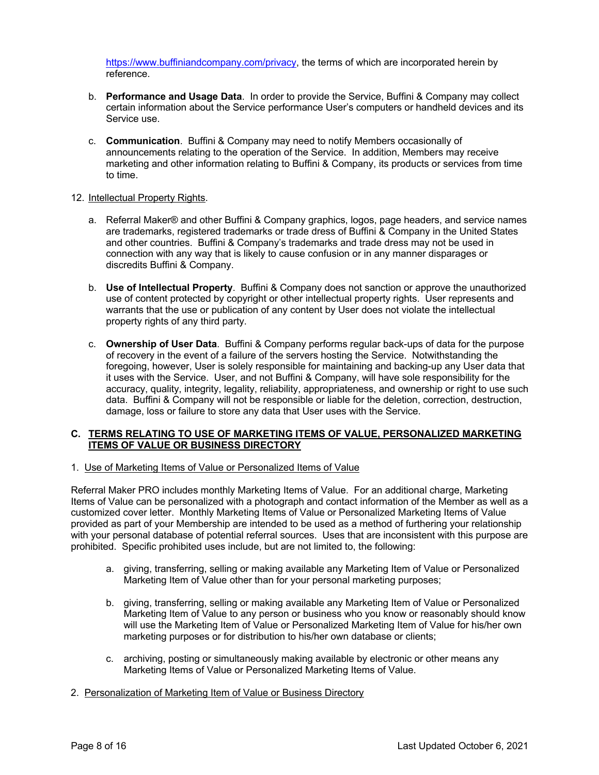https://www.buffiniandcompany.com/privacy, the terms of which are incorporated herein by reference.

- b. **Performance and Usage Data**. In order to provide the Service, Buffini & Company may collect certain information about the Service performance User's computers or handheld devices and its Service use.
- c. **Communication**. Buffini & Company may need to notify Members occasionally of announcements relating to the operation of the Service. In addition, Members may receive marketing and other information relating to Buffini & Company, its products or services from time to time.

### 12. Intellectual Property Rights.

- a. Referral Maker® and other Buffini & Company graphics, logos, page headers, and service names are trademarks, registered trademarks or trade dress of Buffini & Company in the United States and other countries. Buffini & Company's trademarks and trade dress may not be used in connection with any way that is likely to cause confusion or in any manner disparages or discredits Buffini & Company.
- b. **Use of Intellectual Property**. Buffini & Company does not sanction or approve the unauthorized use of content protected by copyright or other intellectual property rights. User represents and warrants that the use or publication of any content by User does not violate the intellectual property rights of any third party.
- c. **Ownership of User Data**. Buffini & Company performs regular back-ups of data for the purpose of recovery in the event of a failure of the servers hosting the Service. Notwithstanding the foregoing, however, User is solely responsible for maintaining and backing-up any User data that it uses with the Service. User, and not Buffini & Company, will have sole responsibility for the accuracy, quality, integrity, legality, reliability, appropriateness, and ownership or right to use such data. Buffini & Company will not be responsible or liable for the deletion, correction, destruction, damage, loss or failure to store any data that User uses with the Service.

### **C. TERMS RELATING TO USE OF MARKETING ITEMS OF VALUE, PERSONALIZED MARKETING ITEMS OF VALUE OR BUSINESS DIRECTORY**

1. Use of Marketing Items of Value or Personalized Items of Value

Referral Maker PRO includes monthly Marketing Items of Value. For an additional charge, Marketing Items of Value can be personalized with a photograph and contact information of the Member as well as a customized cover letter. Monthly Marketing Items of Value or Personalized Marketing Items of Value provided as part of your Membership are intended to be used as a method of furthering your relationship with your personal database of potential referral sources. Uses that are inconsistent with this purpose are prohibited. Specific prohibited uses include, but are not limited to, the following:

- a. giving, transferring, selling or making available any Marketing Item of Value or Personalized Marketing Item of Value other than for your personal marketing purposes;
- b. giving, transferring, selling or making available any Marketing Item of Value or Personalized Marketing Item of Value to any person or business who you know or reasonably should know will use the Marketing Item of Value or Personalized Marketing Item of Value for his/her own marketing purposes or for distribution to his/her own database or clients;
- c. archiving, posting or simultaneously making available by electronic or other means any Marketing Items of Value or Personalized Marketing Items of Value.
- 2. Personalization of Marketing Item of Value or Business Directory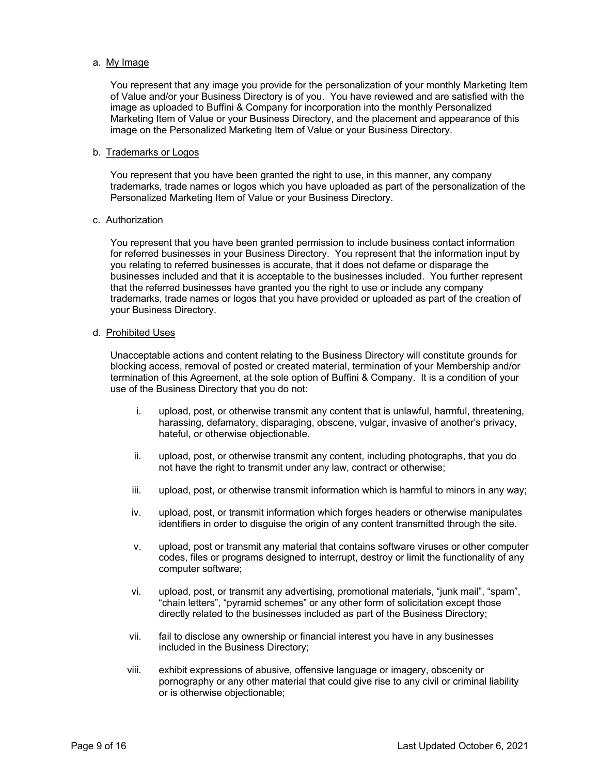#### a. My Image

You represent that any image you provide for the personalization of your monthly Marketing Item of Value and/or your Business Directory is of you. You have reviewed and are satisfied with the image as uploaded to Buffini & Company for incorporation into the monthly Personalized Marketing Item of Value or your Business Directory, and the placement and appearance of this image on the Personalized Marketing Item of Value or your Business Directory.

#### b. Trademarks or Logos

You represent that you have been granted the right to use, in this manner, any company trademarks, trade names or logos which you have uploaded as part of the personalization of the Personalized Marketing Item of Value or your Business Directory.

#### c. Authorization

You represent that you have been granted permission to include business contact information for referred businesses in your Business Directory. You represent that the information input by you relating to referred businesses is accurate, that it does not defame or disparage the businesses included and that it is acceptable to the businesses included. You further represent that the referred businesses have granted you the right to use or include any company trademarks, trade names or logos that you have provided or uploaded as part of the creation of your Business Directory.

#### d. Prohibited Uses

Unacceptable actions and content relating to the Business Directory will constitute grounds for blocking access, removal of posted or created material, termination of your Membership and/or termination of this Agreement, at the sole option of Buffini & Company. It is a condition of your use of the Business Directory that you do not:

- i. upload, post, or otherwise transmit any content that is unlawful, harmful, threatening, harassing, defamatory, disparaging, obscene, vulgar, invasive of another's privacy, hateful, or otherwise objectionable.
- ii. upload, post, or otherwise transmit any content, including photographs, that you do not have the right to transmit under any law, contract or otherwise;
- iii. upload, post, or otherwise transmit information which is harmful to minors in any way;
- iv. upload, post, or transmit information which forges headers or otherwise manipulates identifiers in order to disguise the origin of any content transmitted through the site.
- v. upload, post or transmit any material that contains software viruses or other computer codes, files or programs designed to interrupt, destroy or limit the functionality of any computer software;
- vi. upload, post, or transmit any advertising, promotional materials, "junk mail", "spam", "chain letters", "pyramid schemes" or any other form of solicitation except those directly related to the businesses included as part of the Business Directory;
- vii. fail to disclose any ownership or financial interest you have in any businesses included in the Business Directory;
- viii. exhibit expressions of abusive, offensive language or imagery, obscenity or pornography or any other material that could give rise to any civil or criminal liability or is otherwise objectionable;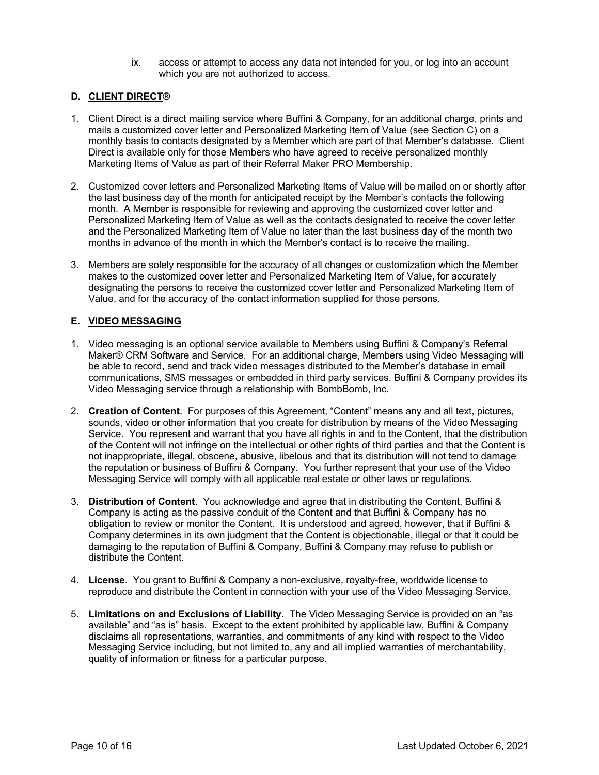ix. access or attempt to access any data not intended for you, or log into an account which you are not authorized to access.

# **D. CLIENT DIRECT®**

- 1. Client Direct is a direct mailing service where Buffini & Company, for an additional charge, prints and mails a customized cover letter and Personalized Marketing Item of Value (see Section C) on a monthly basis to contacts designated by a Member which are part of that Member's database. Client Direct is available only for those Members who have agreed to receive personalized monthly Marketing Items of Value as part of their Referral Maker PRO Membership.
- 2. Customized cover letters and Personalized Marketing Items of Value will be mailed on or shortly after the last business day of the month for anticipated receipt by the Member's contacts the following month. A Member is responsible for reviewing and approving the customized cover letter and Personalized Marketing Item of Value as well as the contacts designated to receive the cover letter and the Personalized Marketing Item of Value no later than the last business day of the month two months in advance of the month in which the Member's contact is to receive the mailing.
- 3. Members are solely responsible for the accuracy of all changes or customization which the Member makes to the customized cover letter and Personalized Marketing Item of Value, for accurately designating the persons to receive the customized cover letter and Personalized Marketing Item of Value, and for the accuracy of the contact information supplied for those persons.

# **E. VIDEO MESSAGING**

- 1. Video messaging is an optional service available to Members using Buffini & Company's Referral Maker® CRM Software and Service. For an additional charge, Members using Video Messaging will be able to record, send and track video messages distributed to the Member's database in email communications, SMS messages or embedded in third party services. Buffini & Company provides its Video Messaging service through a relationship with BombBomb, Inc.
- 2. **Creation of Content**. For purposes of this Agreement, "Content" means any and all text, pictures, sounds, video or other information that you create for distribution by means of the Video Messaging Service. You represent and warrant that you have all rights in and to the Content, that the distribution of the Content will not infringe on the intellectual or other rights of third parties and that the Content is not inappropriate, illegal, obscene, abusive, libelous and that its distribution will not tend to damage the reputation or business of Buffini & Company. You further represent that your use of the Video Messaging Service will comply with all applicable real estate or other laws or regulations.
- 3. **Distribution of Content**. You acknowledge and agree that in distributing the Content, Buffini & Company is acting as the passive conduit of the Content and that Buffini & Company has no obligation to review or monitor the Content. It is understood and agreed, however, that if Buffini & Company determines in its own judgment that the Content is objectionable, illegal or that it could be damaging to the reputation of Buffini & Company, Buffini & Company may refuse to publish or distribute the Content.
- 4. **License**. You grant to Buffini & Company a non-exclusive, royalty-free, worldwide license to reproduce and distribute the Content in connection with your use of the Video Messaging Service.
- 5. **Limitations on and Exclusions of Liability**. The Video Messaging Service is provided on an "as available" and "as is" basis. Except to the extent prohibited by applicable law, Buffini & Company disclaims all representations, warranties, and commitments of any kind with respect to the Video Messaging Service including, but not limited to, any and all implied warranties of merchantability, quality of information or fitness for a particular purpose.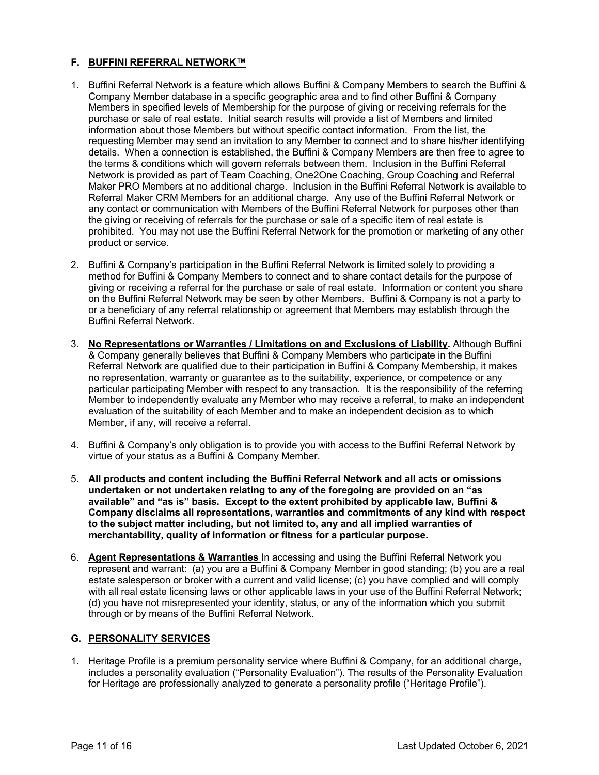### **F. BUFFINI REFERRAL NETWORK™**

- 1. Buffini Referral Network is a feature which allows Buffini & Company Members to search the Buffini & Company Member database in a specific geographic area and to find other Buffini & Company Members in specified levels of Membership for the purpose of giving or receiving referrals for the purchase or sale of real estate. Initial search results will provide a list of Members and limited information about those Members but without specific contact information. From the list, the requesting Member may send an invitation to any Member to connect and to share his/her identifying details. When a connection is established, the Buffini & Company Members are then free to agree to the terms & conditions which will govern referrals between them. Inclusion in the Buffini Referral Network is provided as part of Team Coaching, One2One Coaching, Group Coaching and Referral Maker PRO Members at no additional charge. Inclusion in the Buffini Referral Network is available to Referral Maker CRM Members for an additional charge. Any use of the Buffini Referral Network or any contact or communication with Members of the Buffini Referral Network for purposes other than the giving or receiving of referrals for the purchase or sale of a specific item of real estate is prohibited. You may not use the Buffini Referral Network for the promotion or marketing of any other product or service.
- 2. Buffini & Company's participation in the Buffini Referral Network is limited solely to providing a method for Buffini & Company Members to connect and to share contact details for the purpose of giving or receiving a referral for the purchase or sale of real estate. Information or content you share on the Buffini Referral Network may be seen by other Members. Buffini & Company is not a party to or a beneficiary of any referral relationship or agreement that Members may establish through the Buffini Referral Network.
- 3. **No Representations or Warranties / Limitations on and Exclusions of Liability.** Although Buffini & Company generally believes that Buffini & Company Members who participate in the Buffini Referral Network are qualified due to their participation in Buffini & Company Membership, it makes no representation, warranty or guarantee as to the suitability, experience, or competence or any particular participating Member with respect to any transaction. It is the responsibility of the referring Member to independently evaluate any Member who may receive a referral, to make an independent evaluation of the suitability of each Member and to make an independent decision as to which Member, if any, will receive a referral.
- 4. Buffini & Company's only obligation is to provide you with access to the Buffini Referral Network by virtue of your status as a Buffini & Company Member.
- 5. **All products and content including the Buffini Referral Network and all acts or omissions undertaken or not undertaken relating to any of the foregoing are provided on an "as available" and "as is" basis. Except to the extent prohibited by applicable law, Buffini & Company disclaims all representations, warranties and commitments of any kind with respect to the subject matter including, but not limited to, any and all implied warranties of merchantability, quality of information or fitness for a particular purpose.**
- 6. **Agent Representations & Warranties** In accessing and using the Buffini Referral Network you represent and warrant: (a) you are a Buffini & Company Member in good standing; (b) you are a real estate salesperson or broker with a current and valid license; (c) you have complied and will comply with all real estate licensing laws or other applicable laws in your use of the Buffini Referral Network; (d) you have not misrepresented your identity, status, or any of the information which you submit through or by means of the Buffini Referral Network.

# **G. PERSONALITY SERVICES**

1. Heritage Profile is a premium personality service where Buffini & Company, for an additional charge, includes a personality evaluation ("Personality Evaluation"). The results of the Personality Evaluation for Heritage are professionally analyzed to generate a personality profile ("Heritage Profile").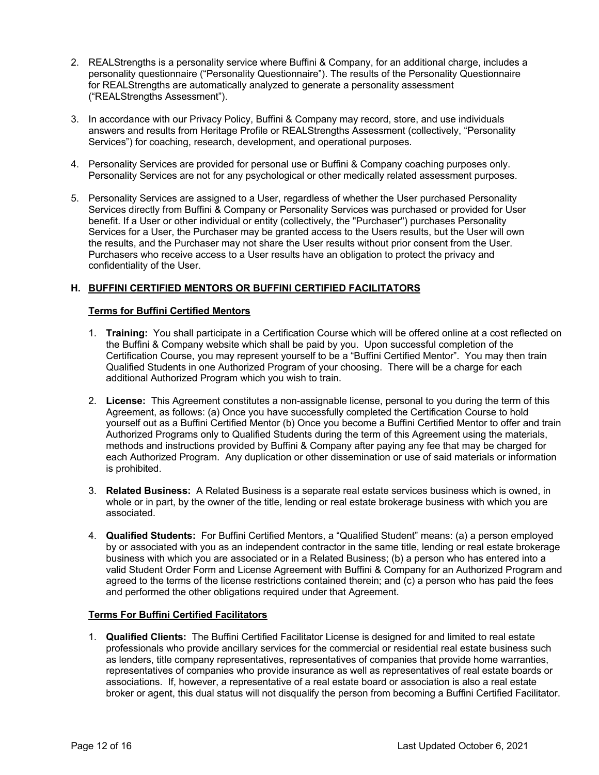- 2. REALStrengths is a personality service where Buffini & Company, for an additional charge, includes a personality questionnaire ("Personality Questionnaire"). The results of the Personality Questionnaire for REALStrengths are automatically analyzed to generate a personality assessment ("REALStrengths Assessment").
- 3. In accordance with our Privacy Policy, Buffini & Company may record, store, and use individuals answers and results from Heritage Profile or REALStrengths Assessment (collectively, "Personality Services") for coaching, research, development, and operational purposes.
- 4. Personality Services are provided for personal use or Buffini & Company coaching purposes only. Personality Services are not for any psychological or other medically related assessment purposes.
- 5. Personality Services are assigned to a User, regardless of whether the User purchased Personality Services directly from Buffini & Company or Personality Services was purchased or provided for User benefit. If a User or other individual or entity (collectively, the "Purchaser") purchases Personality Services for a User, the Purchaser may be granted access to the Users results, but the User will own the results, and the Purchaser may not share the User results without prior consent from the User. Purchasers who receive access to a User results have an obligation to protect the privacy and confidentiality of the User.

# **H. BUFFINI CERTIFIED MENTORS OR BUFFINI CERTIFIED FACILITATORS**

# **Terms for Buffini Certified Mentors**

- 1. **Training:** You shall participate in a Certification Course which will be offered online at a cost reflected on the Buffini & Company website which shall be paid by you. Upon successful completion of the Certification Course, you may represent yourself to be a "Buffini Certified Mentor". You may then train Qualified Students in one Authorized Program of your choosing. There will be a charge for each additional Authorized Program which you wish to train.
- 2. **License:** This Agreement constitutes a non-assignable license, personal to you during the term of this Agreement, as follows: (a) Once you have successfully completed the Certification Course to hold yourself out as a Buffini Certified Mentor (b) Once you become a Buffini Certified Mentor to offer and train Authorized Programs only to Qualified Students during the term of this Agreement using the materials, methods and instructions provided by Buffini & Company after paying any fee that may be charged for each Authorized Program. Any duplication or other dissemination or use of said materials or information is prohibited.
- 3. **Related Business:** A Related Business is a separate real estate services business which is owned, in whole or in part, by the owner of the title, lending or real estate brokerage business with which you are associated.
- 4. **Qualified Students:** For Buffini Certified Mentors, a "Qualified Student" means: (a) a person employed by or associated with you as an independent contractor in the same title, lending or real estate brokerage business with which you are associated or in a Related Business; (b) a person who has entered into a valid Student Order Form and License Agreement with Buffini & Company for an Authorized Program and agreed to the terms of the license restrictions contained therein; and (c) a person who has paid the fees and performed the other obligations required under that Agreement.

### **Terms For Buffini Certified Facilitators**

1. **Qualified Clients:** The Buffini Certified Facilitator License is designed for and limited to real estate professionals who provide ancillary services for the commercial or residential real estate business such as lenders, title company representatives, representatives of companies that provide home warranties, representatives of companies who provide insurance as well as representatives of real estate boards or associations. If, however, a representative of a real estate board or association is also a real estate broker or agent, this dual status will not disqualify the person from becoming a Buffini Certified Facilitator.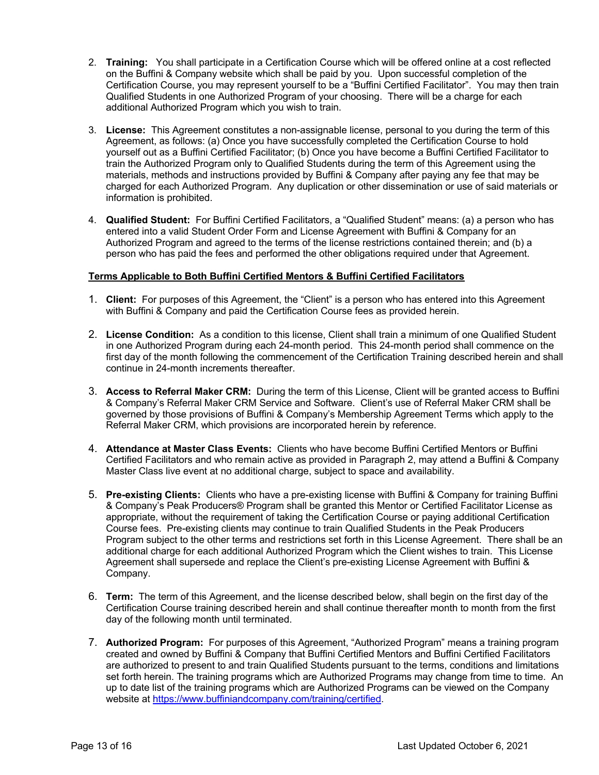- 2. **Training:** You shall participate in a Certification Course which will be offered online at a cost reflected on the Buffini & Company website which shall be paid by you. Upon successful completion of the Certification Course, you may represent yourself to be a "Buffini Certified Facilitator". You may then train Qualified Students in one Authorized Program of your choosing. There will be a charge for each additional Authorized Program which you wish to train.
- 3. **License:** This Agreement constitutes a non-assignable license, personal to you during the term of this Agreement, as follows: (a) Once you have successfully completed the Certification Course to hold yourself out as a Buffini Certified Facilitator; (b) Once you have become a Buffini Certified Facilitator to train the Authorized Program only to Qualified Students during the term of this Agreement using the materials, methods and instructions provided by Buffini & Company after paying any fee that may be charged for each Authorized Program. Any duplication or other dissemination or use of said materials or information is prohibited.
- 4. **Qualified Student:** For Buffini Certified Facilitators, a "Qualified Student" means: (a) a person who has entered into a valid Student Order Form and License Agreement with Buffini & Company for an Authorized Program and agreed to the terms of the license restrictions contained therein; and (b) a person who has paid the fees and performed the other obligations required under that Agreement.

### **Terms Applicable to Both Buffini Certified Mentors & Buffini Certified Facilitators**

- 1. **Client:** For purposes of this Agreement, the "Client" is a person who has entered into this Agreement with Buffini & Company and paid the Certification Course fees as provided herein.
- 2. **License Condition:** As a condition to this license, Client shall train a minimum of one Qualified Student in one Authorized Program during each 24-month period. This 24-month period shall commence on the first day of the month following the commencement of the Certification Training described herein and shall continue in 24-month increments thereafter.
- 3. **Access to Referral Maker CRM:** During the term of this License, Client will be granted access to Buffini & Company's Referral Maker CRM Service and Software. Client's use of Referral Maker CRM shall be governed by those provisions of Buffini & Company's Membership Agreement Terms which apply to the Referral Maker CRM, which provisions are incorporated herein by reference.
- 4. **Attendance at Master Class Events:** Clients who have become Buffini Certified Mentors or Buffini Certified Facilitators and who remain active as provided in Paragraph 2, may attend a Buffini & Company Master Class live event at no additional charge, subject to space and availability.
- 5. **Pre-existing Clients:** Clients who have a pre-existing license with Buffini & Company for training Buffini & Company's Peak Producers® Program shall be granted this Mentor or Certified Facilitator License as appropriate, without the requirement of taking the Certification Course or paying additional Certification Course fees. Pre-existing clients may continue to train Qualified Students in the Peak Producers Program subject to the other terms and restrictions set forth in this License Agreement. There shall be an additional charge for each additional Authorized Program which the Client wishes to train. This License Agreement shall supersede and replace the Client's pre-existing License Agreement with Buffini & Company.
- 6. **Term:** The term of this Agreement, and the license described below, shall begin on the first day of the Certification Course training described herein and shall continue thereafter month to month from the first day of the following month until terminated.
- 7. **Authorized Program:** For purposes of this Agreement, "Authorized Program" means a training program created and owned by Buffini & Company that Buffini Certified Mentors and Buffini Certified Facilitators are authorized to present to and train Qualified Students pursuant to the terms, conditions and limitations set forth herein. The training programs which are Authorized Programs may change from time to time. An up to date list of the training programs which are Authorized Programs can be viewed on the Company website at https://www.buffiniandcompany.com/training/certified.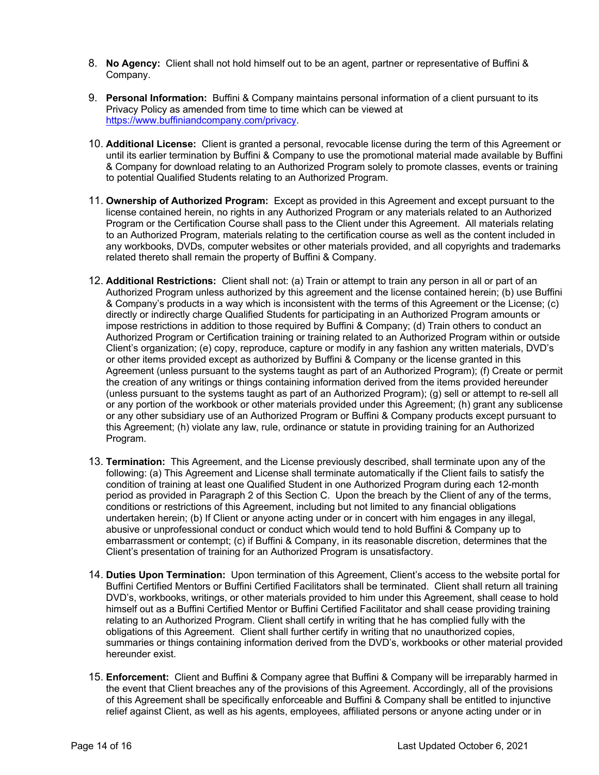- 8. **No Agency:** Client shall not hold himself out to be an agent, partner or representative of Buffini & Company.
- 9. **Personal Information:** Buffini & Company maintains personal information of a client pursuant to its Privacy Policy as amended from time to time which can be viewed at https://www.buffiniandcompany.com/privacy.
- 10. **Additional License:** Client is granted a personal, revocable license during the term of this Agreement or until its earlier termination by Buffini & Company to use the promotional material made available by Buffini & Company for download relating to an Authorized Program solely to promote classes, events or training to potential Qualified Students relating to an Authorized Program.
- 11. **Ownership of Authorized Program:** Except as provided in this Agreement and except pursuant to the license contained herein, no rights in any Authorized Program or any materials related to an Authorized Program or the Certification Course shall pass to the Client under this Agreement. All materials relating to an Authorized Program, materials relating to the certification course as well as the content included in any workbooks, DVDs, computer websites or other materials provided, and all copyrights and trademarks related thereto shall remain the property of Buffini & Company.
- 12. **Additional Restrictions:** Client shall not: (a) Train or attempt to train any person in all or part of an Authorized Program unless authorized by this agreement and the license contained herein; (b) use Buffini & Company's products in a way which is inconsistent with the terms of this Agreement or the License; (c) directly or indirectly charge Qualified Students for participating in an Authorized Program amounts or impose restrictions in addition to those required by Buffini & Company; (d) Train others to conduct an Authorized Program or Certification training or training related to an Authorized Program within or outside Client's organization; (e) copy, reproduce, capture or modify in any fashion any written materials, DVD's or other items provided except as authorized by Buffini & Company or the license granted in this Agreement (unless pursuant to the systems taught as part of an Authorized Program); (f) Create or permit the creation of any writings or things containing information derived from the items provided hereunder (unless pursuant to the systems taught as part of an Authorized Program); (g) sell or attempt to re-sell all or any portion of the workbook or other materials provided under this Agreement; (h) grant any sublicense or any other subsidiary use of an Authorized Program or Buffini & Company products except pursuant to this Agreement; (h) violate any law, rule, ordinance or statute in providing training for an Authorized Program.
- 13. **Termination:** This Agreement, and the License previously described, shall terminate upon any of the following: (a) This Agreement and License shall terminate automatically if the Client fails to satisfy the condition of training at least one Qualified Student in one Authorized Program during each 12-month period as provided in Paragraph 2 of this Section C. Upon the breach by the Client of any of the terms, conditions or restrictions of this Agreement, including but not limited to any financial obligations undertaken herein; (b) If Client or anyone acting under or in concert with him engages in any illegal, abusive or unprofessional conduct or conduct which would tend to hold Buffini & Company up to embarrassment or contempt; (c) if Buffini & Company, in its reasonable discretion, determines that the Client's presentation of training for an Authorized Program is unsatisfactory.
- 14. **Duties Upon Termination:** Upon termination of this Agreement, Client's access to the website portal for Buffini Certified Mentors or Buffini Certified Facilitators shall be terminated. Client shall return all training DVD's, workbooks, writings, or other materials provided to him under this Agreement, shall cease to hold himself out as a Buffini Certified Mentor or Buffini Certified Facilitator and shall cease providing training relating to an Authorized Program. Client shall certify in writing that he has complied fully with the obligations of this Agreement. Client shall further certify in writing that no unauthorized copies, summaries or things containing information derived from the DVD's, workbooks or other material provided hereunder exist.
- 15. **Enforcement:** Client and Buffini & Company agree that Buffini & Company will be irreparably harmed in the event that Client breaches any of the provisions of this Agreement. Accordingly, all of the provisions of this Agreement shall be specifically enforceable and Buffini & Company shall be entitled to injunctive relief against Client, as well as his agents, employees, affiliated persons or anyone acting under or in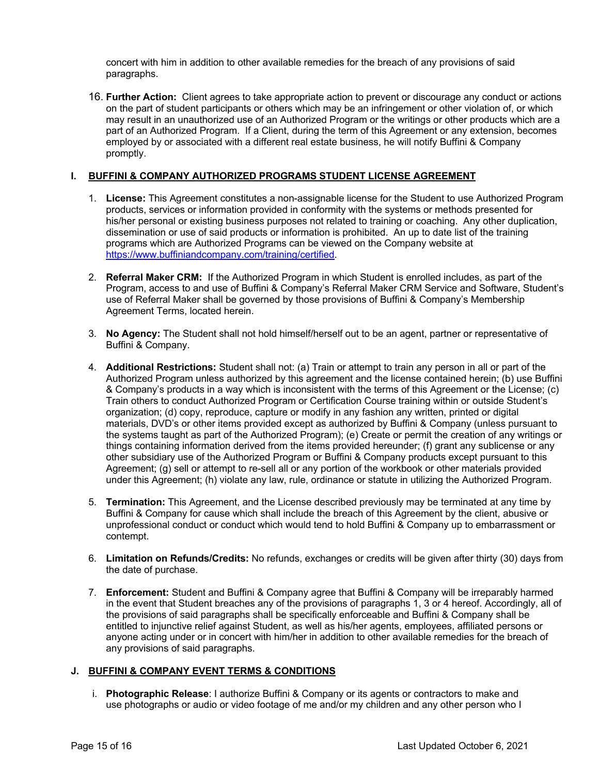concert with him in addition to other available remedies for the breach of any provisions of said paragraphs.

16. **Further Action:** Client agrees to take appropriate action to prevent or discourage any conduct or actions on the part of student participants or others which may be an infringement or other violation of, or which may result in an unauthorized use of an Authorized Program or the writings or other products which are a part of an Authorized Program. If a Client, during the term of this Agreement or any extension, becomes employed by or associated with a different real estate business, he will notify Buffini & Company promptly.

### **I. BUFFINI & COMPANY AUTHORIZED PROGRAMS STUDENT LICENSE AGREEMENT**

- 1. **License:** This Agreement constitutes a non-assignable license for the Student to use Authorized Program products, services or information provided in conformity with the systems or methods presented for his/her personal or existing business purposes not related to training or coaching. Any other duplication, dissemination or use of said products or information is prohibited. An up to date list of the training programs which are Authorized Programs can be viewed on the Company website at https://www.buffiniandcompany.com/training/certified.
- 2. **Referral Maker CRM:** If the Authorized Program in which Student is enrolled includes, as part of the Program, access to and use of Buffini & Company's Referral Maker CRM Service and Software, Student's use of Referral Maker shall be governed by those provisions of Buffini & Company's Membership Agreement Terms, located herein.
- 3. **No Agency:** The Student shall not hold himself/herself out to be an agent, partner or representative of Buffini & Company.
- 4. **Additional Restrictions:** Student shall not: (a) Train or attempt to train any person in all or part of the Authorized Program unless authorized by this agreement and the license contained herein; (b) use Buffini & Company's products in a way which is inconsistent with the terms of this Agreement or the License; (c) Train others to conduct Authorized Program or Certification Course training within or outside Student's organization; (d) copy, reproduce, capture or modify in any fashion any written, printed or digital materials, DVD's or other items provided except as authorized by Buffini & Company (unless pursuant to the systems taught as part of the Authorized Program); (e) Create or permit the creation of any writings or things containing information derived from the items provided hereunder; (f) grant any sublicense or any other subsidiary use of the Authorized Program or Buffini & Company products except pursuant to this Agreement; (g) sell or attempt to re-sell all or any portion of the workbook or other materials provided under this Agreement; (h) violate any law, rule, ordinance or statute in utilizing the Authorized Program.
- 5. **Termination:** This Agreement, and the License described previously may be terminated at any time by Buffini & Company for cause which shall include the breach of this Agreement by the client, abusive or unprofessional conduct or conduct which would tend to hold Buffini & Company up to embarrassment or contempt.
- 6. **Limitation on Refunds/Credits:** No refunds, exchanges or credits will be given after thirty (30) days from the date of purchase.
- 7. **Enforcement:** Student and Buffini & Company agree that Buffini & Company will be irreparably harmed in the event that Student breaches any of the provisions of paragraphs 1, 3 or 4 hereof. Accordingly, all of the provisions of said paragraphs shall be specifically enforceable and Buffini & Company shall be entitled to injunctive relief against Student, as well as his/her agents, employees, affiliated persons or anyone acting under or in concert with him/her in addition to other available remedies for the breach of any provisions of said paragraphs.

### **J. BUFFINI & COMPANY EVENT TERMS & CONDITIONS**

i. **Photographic Release**: I authorize Buffini & Company or its agents or contractors to make and use photographs or audio or video footage of me and/or my children and any other person who I